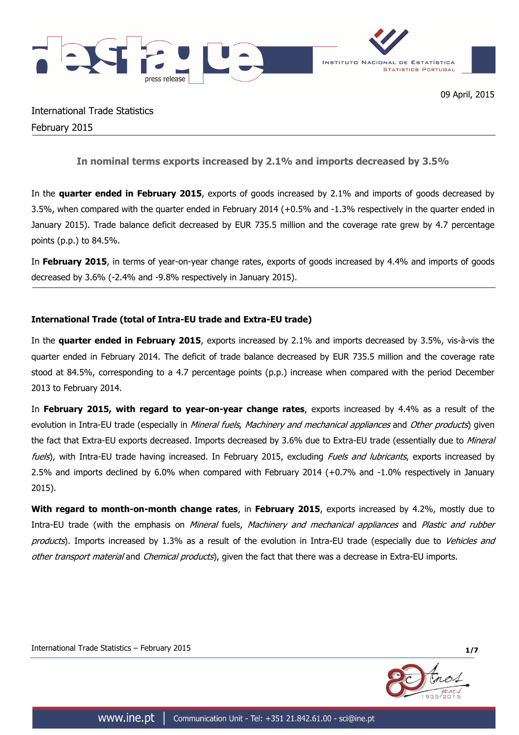



International Trade Statistics February 2015

**In nominal terms exports increased by 2.1% and imports decreased by 3.5%**

In the **quarter ended in February 2015**, exports of goods increased by 2.1% and imports of goods decreased by 3.5%, when compared with the quarter ended in February 2014 (+0.5% and -1.3% respectively in the quarter ended in January 2015). Trade balance deficit decreased by EUR 735.5 million and the coverage rate grew by 4.7 percentage points (p.p.) to 84.5%.

In **February 2015**, in terms of year-on-year change rates, exports of goods increased by 4.4% and imports of goods decreased by 3.6% (-2.4% and -9.8% respectively in January 2015).

# **International Trade (total of Intra-EU trade and Extra-EU trade)**

In the **quarter ended in February 2015**, exports increased by 2.1% and imports decreased by 3.5%, vis-à-vis the quarter ended in February 2014. The deficit of trade balance decreased by EUR 735.5 million and the coverage rate stood at 84.5%, corresponding to a 4.7 percentage points (p.p.) increase when compared with the period December 2013 to February 2014.

In **February 2015, with regard to year-on-year change rates**, exports increased by 4.4% as a result of the evolution in Intra-EU trade (especially in Mineral fuels, Machinery and mechanical appliances and Other products) given the fact that Extra-EU exports decreased. Imports decreased by 3.6% due to Extra-EU trade (essentially due to Mineral fuels), with Intra-EU trade having increased. In February 2015, excluding Fuels and lubricants, exports increased by 2.5% and imports declined by 6.0% when compared with February 2014 (+0.7% and -1.0% respectively in January 2015).

**With regard to month-on-month change rates**, in **February 2015**, exports increased by 4.2%, mostly due to Intra-EU trade (with the emphasis on Mineral fuels, Machinery and mechanical appliances and Plastic and rubber products). Imports increased by 1.3% as a result of the evolution in Intra-EU trade (especially due to Vehicles and other transport material and Chemical products), given the fact that there was a decrease in Extra-EU imports.

International Trade Statistics – February 2015 **1/7**

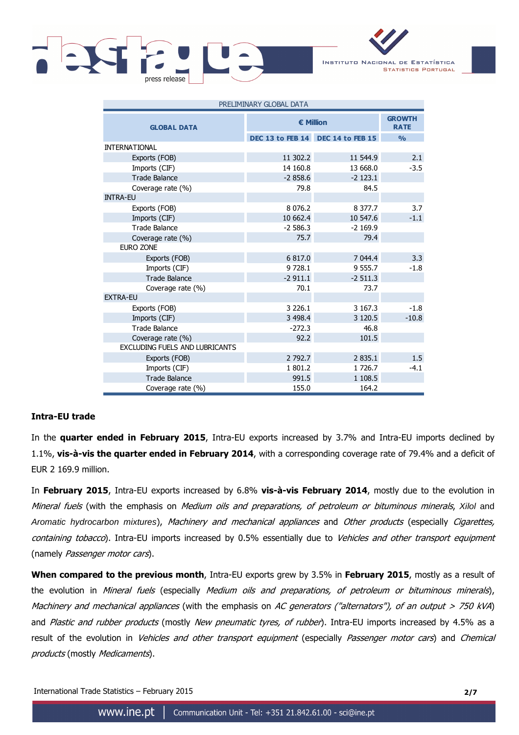

INSTITUTO NACIONAL DE ESTATÍSTICA **STATISTICS PORTUGAL** 

| PRELIMINARY GLOBAL DATA               |             |                                   |               |  |  |  |
|---------------------------------------|-------------|-----------------------------------|---------------|--|--|--|
| <b>GLOBAL DATA</b>                    | € Million   | <b>GROWTH</b><br><b>RATE</b>      |               |  |  |  |
|                                       |             | DEC 13 to FEB 14 DEC 14 to FEB 15 | $\frac{0}{0}$ |  |  |  |
| <b>INTERNATIONAL</b>                  |             |                                   |               |  |  |  |
| Exports (FOB)                         | 11 302.2    | 11 544.9                          | 2.1           |  |  |  |
| Imports (CIF)                         | 14 160.8    | 13 668.0                          | $-3.5$        |  |  |  |
| <b>Trade Balance</b>                  | $-2858.6$   | $-2$ 123.1                        |               |  |  |  |
| Coverage rate (%)                     | 79.8        | 84.5                              |               |  |  |  |
| <b>INTRA-EU</b>                       |             |                                   |               |  |  |  |
| Exports (FOB)                         | 8 0 7 6.2   | 8 377.7                           | 3.7           |  |  |  |
| Imports (CIF)                         | 10 662.4    | 10 547.6                          | $-1.1$        |  |  |  |
| <b>Trade Balance</b>                  | $-2586.3$   | $-2$ 169.9                        |               |  |  |  |
| Coverage rate (%)                     | 75.7        | 79.4                              |               |  |  |  |
| EURO ZONE                             |             |                                   |               |  |  |  |
| Exports (FOB)                         | 6817.0      | 7 044.4                           | 3.3           |  |  |  |
| Imports (CIF)                         | 9 7 28.1    | 9 555.7                           | $-1.8$        |  |  |  |
| <b>Trade Balance</b>                  | $-2911.1$   | $-2511.3$                         |               |  |  |  |
| Coverage rate (%)                     | 70.1        | 73.7                              |               |  |  |  |
| <b>EXTRA-EU</b>                       |             |                                   |               |  |  |  |
| Exports (FOB)                         | 3 2 2 6 . 1 | 3 167.3                           | $-1.8$        |  |  |  |
| Imports (CIF)                         | 3 4 9 8.4   | 3 1 2 0.5                         | $-10.8$       |  |  |  |
| <b>Trade Balance</b>                  | $-272.3$    | 46.8                              |               |  |  |  |
| Coverage rate (%)                     | 92.2        | 101.5                             |               |  |  |  |
| <b>EXCLUDING FUELS AND LUBRICANTS</b> |             |                                   |               |  |  |  |
| Exports (FOB)                         | 2 792.7     | 2 8 3 5 . 1                       | 1.5           |  |  |  |
| Imports (CIF)                         | 1801.2      | 1 726.7                           | $-4.1$        |  |  |  |
| <b>Trade Balance</b>                  | 991.5       | 1 108.5                           |               |  |  |  |
| Coverage rate (%)                     | 155.0       | 164.2                             |               |  |  |  |

## **Intra-EU trade**

In the **quarter ended in February 2015**, Intra-EU exports increased by 3.7% and Intra-EU imports declined by 1.1%, **vis-à-vis the quarter ended in February 2014**, with a corresponding coverage rate of 79.4% and a deficit of EUR 2 169.9 million.

In **February 2015**, Intra-EU exports increased by 6.8% **vis-à-vis February 2014**, mostly due to the evolution in Mineral fuels (with the emphasis on Medium oils and preparations, of petroleum or bituminous minerals, Xilol and Aromatic hydrocarbon mixtures), Machinery and mechanical appliances and Other products (especially Cigarettes, containing tobacco). Intra-EU imports increased by 0.5% essentially due to Vehicles and other transport equipment (namely Passenger motor cars).

**When compared to the previous month**, Intra-EU exports grew by 3.5% in **February 2015**, mostly as a result of the evolution in Mineral fuels (especially Medium oils and preparations, of petroleum or bituminous minerals), Machinery and mechanical appliances (with the emphasis on AC generators ("alternators"), of an output  $> 750$  kVA) and Plastic and rubber products (mostly New pneumatic tyres, of rubber). Intra-EU imports increased by 4.5% as a result of the evolution in Vehicles and other transport equipment (especially Passenger motor cars) and Chemical products (mostly Medicaments).

International Trade Statistics – February 2015 **2/7**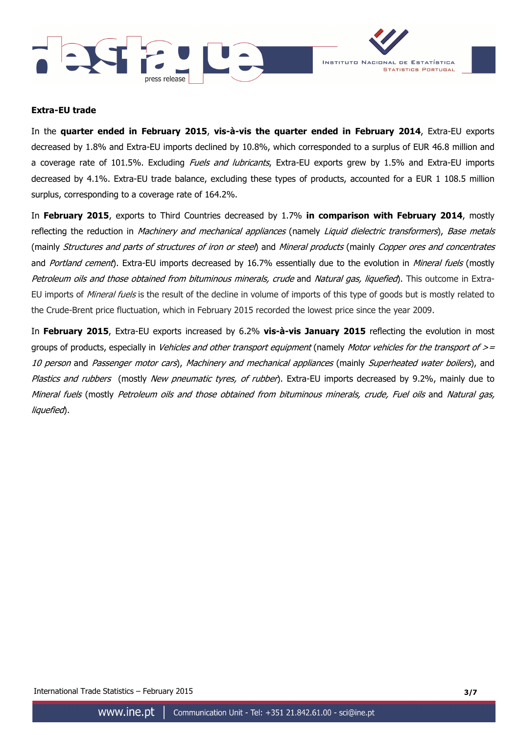



### **Extra-EU trade**

In the **quarter ended in February 2015**, **vis-à-vis the quarter ended in February 2014**, Extra-EU exports decreased by 1.8% and Extra-EU imports declined by 10.8%, which corresponded to a surplus of EUR 46.8 million and a coverage rate of 101.5%. Excluding Fuels and lubricants, Extra-EU exports grew by 1.5% and Extra-EU imports decreased by 4.1%. Extra-EU trade balance, excluding these types of products, accounted for a EUR 1 108.5 million surplus, corresponding to a coverage rate of 164.2%.

In **February 2015**, exports to Third Countries decreased by 1.7% **in comparison with February 2014**, mostly reflecting the reduction in Machinery and mechanical appliances (namely Liquid dielectric transformers), Base metals (mainly Structures and parts of structures of iron or steel) and Mineral products (mainly Copper ores and concentrates and Portland cement). Extra-EU imports decreased by 16.7% essentially due to the evolution in Mineral fuels (mostly Petroleum oils and those obtained from bituminous minerals, crude and Natural gas, liquefied). This outcome in Extra-EU imports of *Mineral fuels* is the result of the decline in volume of imports of this type of goods but is mostly related to the Crude-Brent price fluctuation, which in February 2015 recorded the lowest price since the year 2009.

In **February 2015**, Extra-EU exports increased by 6.2% **vis-à-vis January 2015** reflecting the evolution in most groups of products, especially in *Vehicles and other transport equipment* (namely *Motor vehicles for the transport of > =* 10 person and Passenger motor cars), Machinery and mechanical appliances (mainly Superheated water boilers), and Plastics and rubbers (mostly New pneumatic tyres, of rubber). Extra-EU imports decreased by 9.2%, mainly due to Mineral fuels (mostly Petroleum oils and those obtained from bituminous minerals, crude, Fuel oils and Natural gas, liquefied).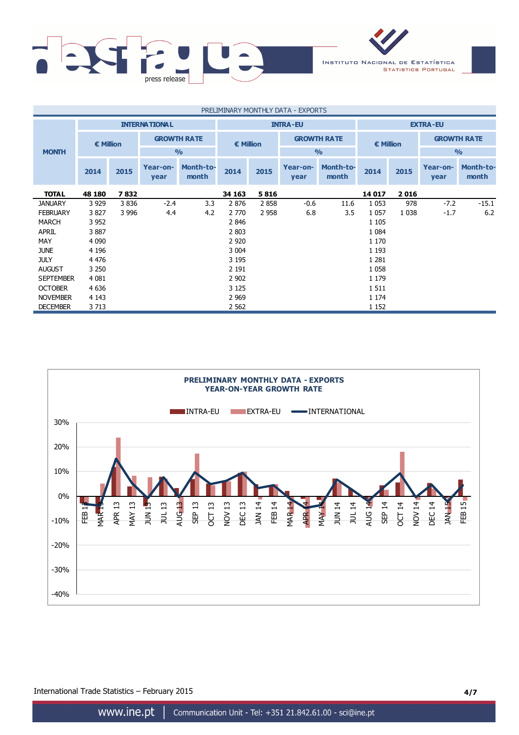

| PRELIMINARY MONTHLY DATA - EXPORTS |                                         |         |                    |                    |                                          |                 |                  |                           |         |         |                    |                           |
|------------------------------------|-----------------------------------------|---------|--------------------|--------------------|------------------------------------------|-----------------|------------------|---------------------------|---------|---------|--------------------|---------------------------|
|                                    | <b>INTERNATIONAL</b><br><b>INTRA-EU</b> |         |                    |                    |                                          | <b>EXTRA-EU</b> |                  |                           |         |         |                    |                           |
|                                    | <b>€ Million</b>                        |         | <b>GROWTH RATE</b> |                    | <b>GROWTH RATE</b><br>$\epsilon$ Million |                 |                  | $\epsilon$ Million        |         |         | <b>GROWTH RATE</b> |                           |
| <b>MONTH</b>                       |                                         |         |                    | O/2                |                                          |                 |                  | O/2                       |         |         | $\frac{0}{0}$      |                           |
|                                    | 2014                                    | 2015    | Year-on-<br>year   | Month-to-<br>month | 2014                                     | 2015            | Year-on-<br>year | <b>Month-to-</b><br>month | 2014    | 2015    | Year-on-<br>year   | <b>Month-to-</b><br>month |
| <b>TOTAL</b>                       | 48 180                                  | 7832    |                    |                    | 34 163                                   | 5816            |                  |                           | 14 017  | 2016    |                    |                           |
| <b>JANUARY</b>                     | 3 9 2 9                                 | 3836    | $-2.4$             | 3.3                | 2876                                     | 2858            | $-0.6$           | 11.6                      | 1 0 5 3 | 978     | $-7.2$             | $-15.1$                   |
| <b>FEBRUARY</b>                    | 3827                                    | 3 9 9 6 | 4.4                | 4.2                | 2 7 7 0                                  | 2 9 5 8         | 6.8              | 3.5                       | 1 0 5 7 | 1 0 3 8 | $-1.7$             | 6.2                       |
| <b>MARCH</b>                       | 3 9 5 2                                 |         |                    |                    | 2846                                     |                 |                  |                           | 1 1 0 5 |         |                    |                           |
| <b>APRIL</b>                       | 3887                                    |         |                    |                    | 2 803                                    |                 |                  |                           | 1 0 8 4 |         |                    |                           |
| MAY                                | 4 0 9 0                                 |         |                    |                    | 2 9 2 0                                  |                 |                  |                           | 1 1 7 0 |         |                    |                           |
| <b>JUNE</b>                        | 4 1 9 6                                 |         |                    |                    | 3 0 0 4                                  |                 |                  |                           | 1 1 9 3 |         |                    |                           |
| <b>JULY</b>                        | 4 4 7 6                                 |         |                    |                    | 3 1 9 5                                  |                 |                  |                           | 1 2 8 1 |         |                    |                           |
| <b>AUGUST</b>                      | 3 2 5 0                                 |         |                    |                    | 2 1 9 1                                  |                 |                  |                           | 1 0 5 8 |         |                    |                           |
| <b>SEPTEMBER</b>                   | 4 0 8 1                                 |         |                    |                    | 2 9 0 2                                  |                 |                  |                           | 1 1 7 9 |         |                    |                           |
| <b>OCTOBER</b>                     | 4 6 3 6                                 |         |                    |                    | 3 1 2 5                                  |                 |                  |                           | 1511    |         |                    |                           |
| <b>NOVEMBER</b>                    | 4 1 4 3                                 |         |                    |                    | 2 9 6 9                                  |                 |                  |                           | 1 1 7 4 |         |                    |                           |
| <b>DECEMBER</b>                    | 3713                                    |         |                    |                    | 2 5 6 2                                  |                 |                  |                           | 1 1 5 2 |         |                    |                           |



International Trade Statistics – February 2015 **4/7**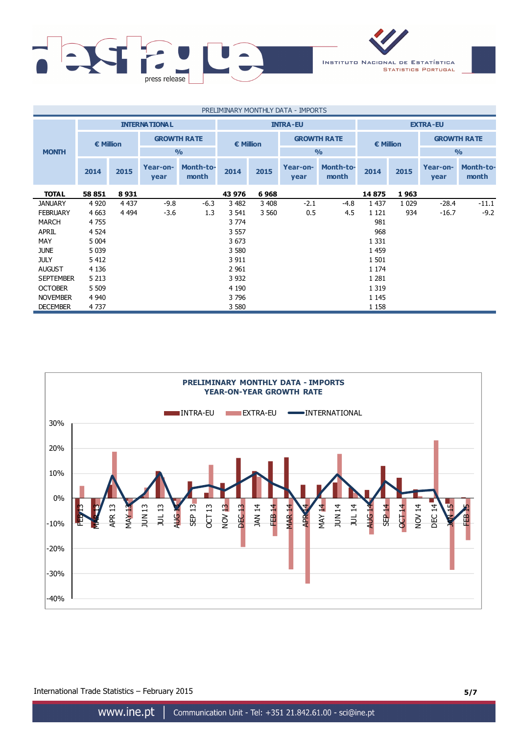

| PRELIMINARY MONTHLY DATA - IMPORTS |                                        |         |                      |                    |                 |                    |                  |                           |                 |                    |                  |                           |  |
|------------------------------------|----------------------------------------|---------|----------------------|--------------------|-----------------|--------------------|------------------|---------------------------|-----------------|--------------------|------------------|---------------------------|--|
|                                    |                                        |         | <b>INTERNATIONAL</b> |                    | <b>INTRA-EU</b> |                    |                  |                           | <b>EXTRA-EU</b> |                    |                  |                           |  |
|                                    | <b>GROWTH RATE</b><br><b>€ Million</b> |         |                      | $\epsilon$ Million |                 | <b>GROWTH RATE</b> |                  | $\epsilon$ Million        |                 | <b>GROWTH RATE</b> |                  |                           |  |
| <b>MONTH</b>                       |                                        |         |                      | $\frac{0}{0}$      |                 |                    |                  | $\frac{0}{0}$             |                 |                    | $\frac{0}{0}$    |                           |  |
|                                    | 2014                                   | 2015    | Year-on-<br>year     | Month-to-<br>month | 2014            | 2015               | Year-on-<br>year | <b>Month-to-</b><br>month | 2014            | 2015               | Year-on-<br>year | <b>Month-to-</b><br>month |  |
| <b>TOTAL</b>                       | 58 851                                 | 8931    |                      |                    | 43 976          | 6968               |                  |                           | 14875           | 1963               |                  |                           |  |
| <b>JANUARY</b>                     | 4 9 2 0                                | 4 4 3 7 | $-9.8$               | $-6.3$             | 3 4 8 2         | 3 4 0 8            | $-2.1$           | $-4.8$                    | 1 4 3 7         | 1 0 2 9            | $-28.4$          | $-11.1$                   |  |
| <b>FEBRUARY</b>                    | 4 6 63                                 | 4 4 9 4 | $-3.6$               | 1.3                | 3 541           | 3 5 6 0            | 0.5              | 4.5                       | 1 1 2 1         | 934                | $-16.7$          | $-9.2$                    |  |
| <b>MARCH</b>                       | 4755                                   |         |                      |                    | 3 7 7 4         |                    |                  |                           | 981             |                    |                  |                           |  |
| <b>APRIL</b>                       | 4 5 24                                 |         |                      |                    | 3 5 5 7         |                    |                  |                           | 968             |                    |                  |                           |  |
| MAY                                | 5 0 0 4                                |         |                      |                    | 3673            |                    |                  |                           | 1 3 3 1         |                    |                  |                           |  |
| <b>JUNE</b>                        | 5 0 3 9                                |         |                      |                    | 3 5 8 0         |                    | 1 4 5 9          |                           |                 |                    |                  |                           |  |
| <b>JULY</b>                        | 5 4 1 2                                |         |                      |                    | 3 9 1 1         |                    |                  |                           | 1 501           |                    |                  |                           |  |
| <b>AUGUST</b>                      | 4 1 3 6                                |         |                      |                    | 2 9 6 1         | 1 1 7 4            |                  |                           |                 |                    |                  |                           |  |
| <b>SEPTEMBER</b>                   | 5 2 1 3                                |         |                      |                    | 3 9 3 2         |                    |                  |                           | 1 2 8 1         |                    |                  |                           |  |
| <b>OCTOBER</b>                     | 5 5 0 9                                |         |                      |                    | 4 1 9 0         |                    |                  |                           | 1 3 1 9         |                    |                  |                           |  |
| <b>NOVEMBER</b>                    | 4 9 4 0                                |         |                      |                    | 3796            |                    |                  |                           | 1 1 4 5         |                    |                  |                           |  |
| <b>DECEMBER</b>                    | 4737                                   |         |                      |                    | 3 5 8 0         |                    |                  |                           | 1 1 5 8         |                    |                  |                           |  |

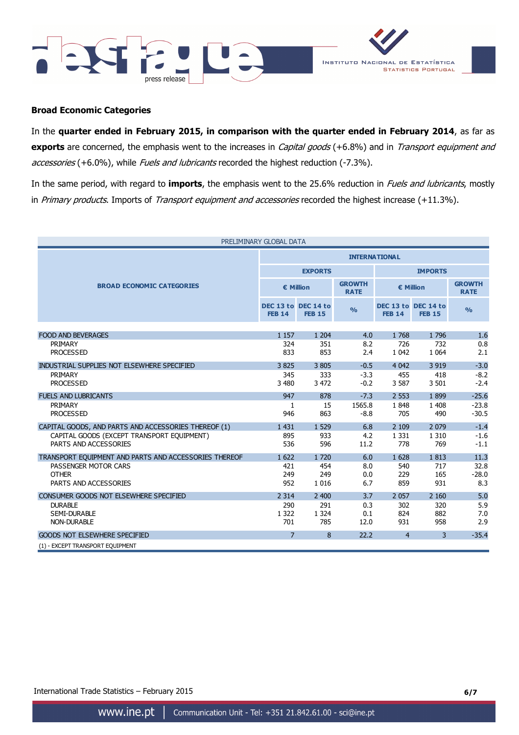



### **Broad Economic Categories**

In the **quarter ended in February 2015, in comparison with the quarter ended in February 2014**, as far as **exports** are concerned, the emphasis went to the increases in *Capital goods* (+6.8%) and in *Transport equipment and* accessories (+6.0%), while Fuels and lubricants recorded the highest reduction (-7.3%).

In the same period, with regard to **imports**, the emphasis went to the 25.6% reduction in Fuels and lubricants, mostly in Primary products. Imports of Transport equipment and accessories recorded the highest increase (+11.3%).

| PRELIMINARY GLOBAL DATA                               |                                      |                |                              |                |                                      |                              |  |  |
|-------------------------------------------------------|--------------------------------------|----------------|------------------------------|----------------|--------------------------------------|------------------------------|--|--|
|                                                       | <b>INTERNATIONAL</b>                 |                |                              |                |                                      |                              |  |  |
|                                                       |                                      | <b>EXPORTS</b> |                              | <b>IMPORTS</b> |                                      |                              |  |  |
| <b>BROAD ECONOMIC CATEGORIES</b>                      | € Million                            |                | <b>GROWTH</b><br><b>RATE</b> | € Million      |                                      | <b>GROWTH</b><br><b>RATE</b> |  |  |
|                                                       | DEC 13 to DEC 14 to<br><b>FEB 14</b> | <b>FEB 15</b>  | $\frac{0}{0}$                | <b>FEB 14</b>  | DEC 13 to DEC 14 to<br><b>FEB 15</b> | $\frac{0}{0}$                |  |  |
|                                                       |                                      |                |                              |                |                                      |                              |  |  |
| <b>FOOD AND BEVERAGES</b>                             | 1 1 5 7                              | 1 204          | 4.0                          | 1768           | 1796                                 | 1.6                          |  |  |
| PRIMARY                                               | 324                                  | 351            | 8.2                          | 726            | 732                                  | 0.8                          |  |  |
| <b>PROCESSED</b>                                      | 833                                  | 853            | 2.4                          | 1 0 4 2        | 1 0 6 4                              | 2.1                          |  |  |
| INDUSTRIAL SUPPLIES NOT ELSEWHERE SPECIFIED           | 3825                                 | 3 8 0 5        | $-0.5$                       | 4 0 4 2        | 3 9 1 9                              | $-3.0$                       |  |  |
| PRIMARY                                               | 345                                  | 333            | $-3.3$                       | 455            | 418                                  | $-8.2$                       |  |  |
| <b>PROCESSED</b>                                      | 3 4 8 0                              | 3 4 7 2        | $-0.2$                       | 3 5 8 7        | 3 5 0 1                              | $-2.4$                       |  |  |
| <b>FUELS AND LUBRICANTS</b>                           | 947                                  | 878            | $-7.3$                       | 2 5 5 3        | 1899                                 | $-25.6$                      |  |  |
| PRIMARY                                               | 1                                    | 15             | 1565.8                       | 1848           | 1 4 0 8                              | $-23.8$                      |  |  |
| <b>PROCESSED</b>                                      | 946                                  | 863            | $-8.8$                       | 705            | 490                                  | $-30.5$                      |  |  |
| CAPITAL GOODS, AND PARTS AND ACCESSORIES THEREOF (1)  | 1 4 3 1                              | 1 5 2 9        | 6.8                          | 2 1 0 9        | 2 0 7 9                              | $-1.4$                       |  |  |
| CAPITAL GOODS (EXCEPT TRANSPORT EQUIPMENT)            | 895                                  | 933            | 4.2                          | 1 3 3 1        | 1 3 1 0                              | $-1.6$                       |  |  |
| PARTS AND ACCESSORIES                                 | 536                                  | 596            | 11.2                         | 778            | 769                                  | $-1.1$                       |  |  |
| TRANSPORT EQUIPMENT AND PARTS AND ACCESSORIES THEREOF | 1 622                                | 1 7 2 0        | 6.0                          | 1 6 28         | 1813                                 | 11.3                         |  |  |
| PASSENGER MOTOR CARS                                  | 421                                  | 454            | 8.0                          | 540            | 717                                  | 32.8                         |  |  |
| <b>OTHER</b>                                          | 249                                  | 249            | 0.0                          | 229            | 165                                  | $-28.0$                      |  |  |
| PARTS AND ACCESSORIES                                 | 952                                  | 1 0 1 6        | 6.7                          | 859            | 931                                  | 8.3                          |  |  |
| CONSUMER GOODS NOT ELSEWHERE SPECIFIED                | 2 3 1 4                              | 2 400          | 3.7                          | 2 0 5 7        | 2 1 6 0                              | 5.0                          |  |  |
| <b>DURABLE</b>                                        | 290                                  | 291            | 0.3                          | 302            | 320                                  | 5.9                          |  |  |
| <b>SEMI-DURABLE</b>                                   | 1 3 2 2                              | 1 3 2 4        | 0.1                          | 824            | 882                                  | 7.0                          |  |  |
| <b>NON-DURABLE</b>                                    | 701                                  | 785            | 12.0                         | 931            | 958                                  | 2.9                          |  |  |
| <b>GOODS NOT ELSEWHERE SPECIFIED</b>                  | $\overline{7}$                       | 8              | 22.2                         | $\overline{4}$ | 3                                    | $-35.4$                      |  |  |
| (1) - EXCEPT TRANSPORT EQUIPMENT                      |                                      |                |                              |                |                                      |                              |  |  |